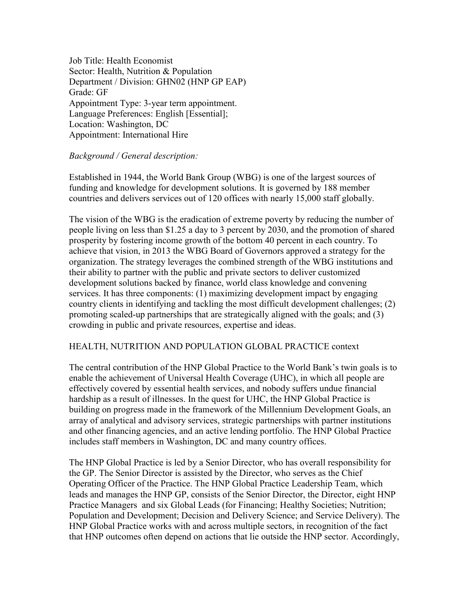Job Title: Health Economist Sector: Health, Nutrition & Population Department / Division: GHN02 (HNP GP EAP) Grade: GF Appointment Type: 3-year term appointment. Language Preferences: English [Essential]; Location: Washington, DC Appointment: International Hire

# *Background / General description:*

Established in 1944, the World Bank Group (WBG) is one of the largest sources of funding and knowledge for development solutions. It is governed by 188 member countries and delivers services out of 120 offices with nearly 15,000 staff globally.

The vision of the WBG is the eradication of extreme poverty by reducing the number of people living on less than \$1.25 a day to 3 percent by 2030, and the promotion of shared prosperity by fostering income growth of the bottom 40 percent in each country. To achieve that vision, in 2013 the WBG Board of Governors approved a strategy for the organization. The strategy leverages the combined strength of the WBG institutions and their ability to partner with the public and private sectors to deliver customized development solutions backed by finance, world class knowledge and convening services. It has three components: (1) maximizing development impact by engaging country clients in identifying and tackling the most difficult development challenges; (2) promoting scaled-up partnerships that are strategically aligned with the goals; and (3) crowding in public and private resources, expertise and ideas.

## HEALTH, NUTRITION AND POPULATION GLOBAL PRACTICE context

The central contribution of the HNP Global Practice to the World Bank's twin goals is to enable the achievement of Universal Health Coverage (UHC), in which all people are effectively covered by essential health services, and nobody suffers undue financial hardship as a result of illnesses. In the quest for UHC, the HNP Global Practice is building on progress made in the framework of the Millennium Development Goals, an array of analytical and advisory services, strategic partnerships with partner institutions and other financing agencies, and an active lending portfolio. The HNP Global Practice includes staff members in Washington, DC and many country offices.

The HNP Global Practice is led by a Senior Director, who has overall responsibility for the GP. The Senior Director is assisted by the Director, who serves as the Chief Operating Officer of the Practice. The HNP Global Practice Leadership Team, which leads and manages the HNP GP, consists of the Senior Director, the Director, eight HNP Practice Managers and six Global Leads (for Financing; Healthy Societies; Nutrition; Population and Development; Decision and Delivery Science; and Service Delivery). The HNP Global Practice works with and across multiple sectors, in recognition of the fact that HNP outcomes often depend on actions that lie outside the HNP sector. Accordingly,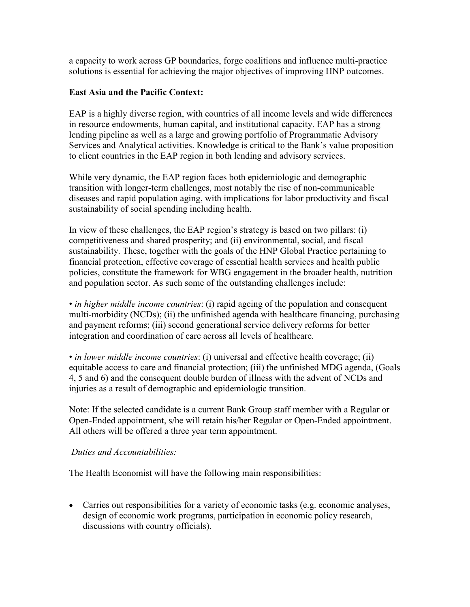a capacity to work across GP boundaries, forge coalitions and influence multi-practice solutions is essential for achieving the major objectives of improving HNP outcomes.

# **East Asia and the Pacific Context:**

EAP is a highly diverse region, with countries of all income levels and wide differences in resource endowments, human capital, and institutional capacity. EAP has a strong lending pipeline as well as a large and growing portfolio of Programmatic Advisory Services and Analytical activities. Knowledge is critical to the Bank's value proposition to client countries in the EAP region in both lending and advisory services.

While very dynamic, the EAP region faces both epidemiologic and demographic transition with longer-term challenges, most notably the rise of non-communicable diseases and rapid population aging, with implications for labor productivity and fiscal sustainability of social spending including health.

In view of these challenges, the EAP region's strategy is based on two pillars: (i) competitiveness and shared prosperity; and (ii) environmental, social, and fiscal sustainability. These, together with the goals of the HNP Global Practice pertaining to financial protection, effective coverage of essential health services and health public policies, constitute the framework for WBG engagement in the broader health, nutrition and population sector. As such some of the outstanding challenges include:

• *in higher middle income countries*: (i) rapid ageing of the population and consequent multi-morbidity (NCDs); (ii) the unfinished agenda with healthcare financing, purchasing and payment reforms; (iii) second generational service delivery reforms for better integration and coordination of care across all levels of healthcare.

• *in lower middle income countries*: (i) universal and effective health coverage; (ii) equitable access to care and financial protection; (iii) the unfinished MDG agenda, (Goals 4, 5 and 6) and the consequent double burden of illness with the advent of NCDs and injuries as a result of demographic and epidemiologic transition.

Note: If the selected candidate is a current Bank Group staff member with a Regular or Open-Ended appointment, s/he will retain his/her Regular or Open-Ended appointment. All others will be offered a three year term appointment.

## *Duties and Accountabilities:*

The Health Economist will have the following main responsibilities:

• Carries out responsibilities for a variety of economic tasks (e.g. economic analyses, design of economic work programs, participation in economic policy research, discussions with country officials).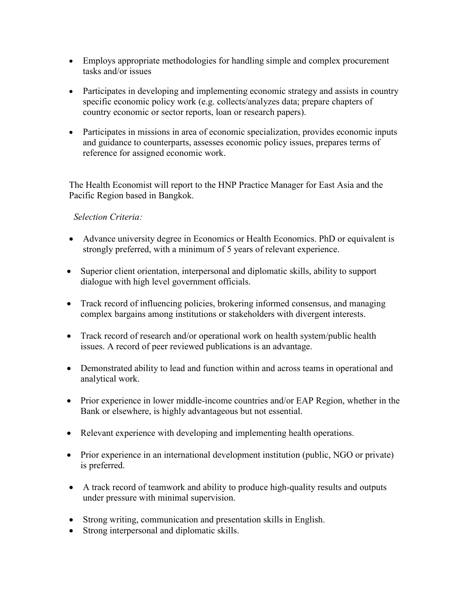- Employs appropriate methodologies for handling simple and complex procurement tasks and/or issues
- Participates in developing and implementing economic strategy and assists in country specific economic policy work (e.g. collects/analyzes data; prepare chapters of country economic or sector reports, loan or research papers).
- Participates in missions in area of economic specialization, provides economic inputs and guidance to counterparts, assesses economic policy issues, prepares terms of reference for assigned economic work.

The Health Economist will report to the HNP Practice Manager for East Asia and the Pacific Region based in Bangkok.

# *Selection Criteria:*

- Advance university degree in Economics or Health Economics. PhD or equivalent is strongly preferred, with a minimum of 5 years of relevant experience.
- Superior client orientation, interpersonal and diplomatic skills, ability to support dialogue with high level government officials.
- Track record of influencing policies, brokering informed consensus, and managing complex bargains among institutions or stakeholders with divergent interests.
- Track record of research and/or operational work on health system/public health issues. A record of peer reviewed publications is an advantage.
- Demonstrated ability to lead and function within and across teams in operational and analytical work.
- Prior experience in lower middle-income countries and/or EAP Region, whether in the Bank or elsewhere, is highly advantageous but not essential.
- Relevant experience with developing and implementing health operations.
- Prior experience in an international development institution (public, NGO or private) is preferred.
- A track record of teamwork and ability to produce high-quality results and outputs under pressure with minimal supervision.
- Strong writing, communication and presentation skills in English.
- Strong interpersonal and diplomatic skills.